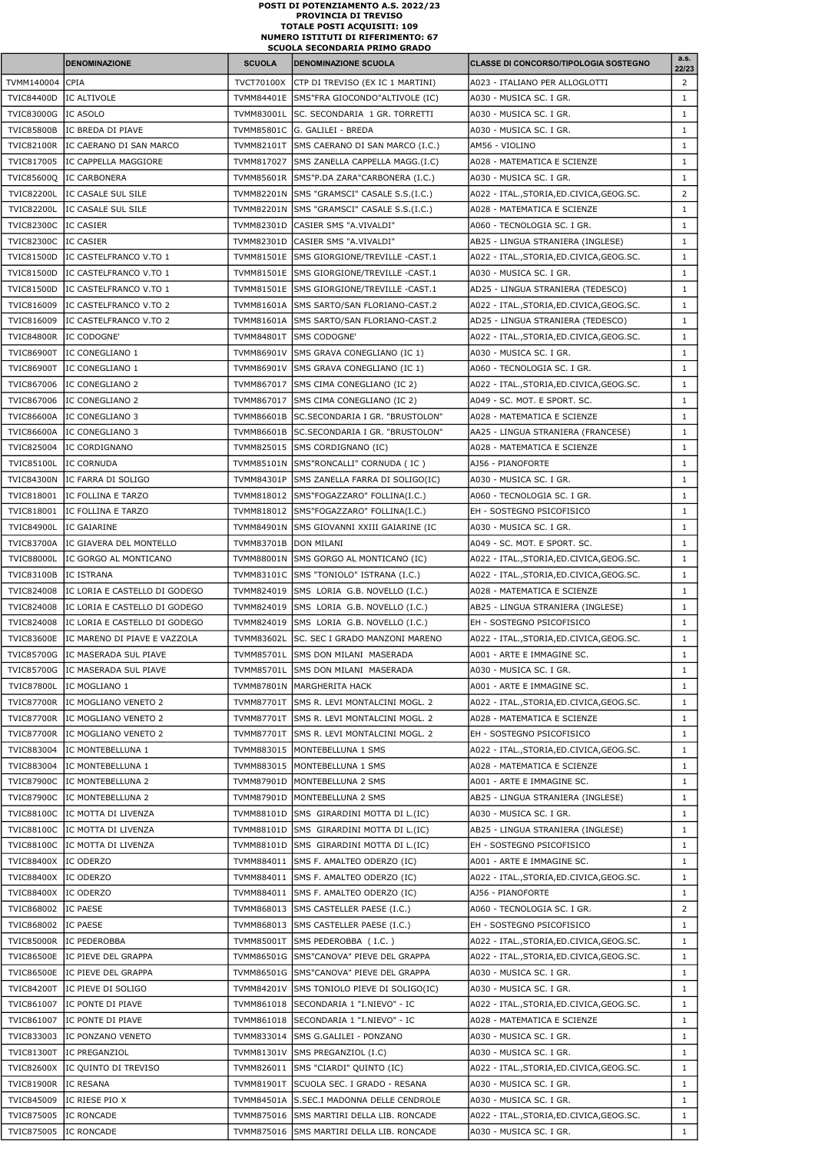|                                        | <b>DENOMINAZIONE</b>                           | <b>SCUOLA</b>         | <b>DENOMINAZIONE SCUOLA</b>                                                  | <b>CLASSE DI CONCORSO/TIPOLOGIA SOSTEGNO</b>                      | a.s.<br>22/23                  |
|----------------------------------------|------------------------------------------------|-----------------------|------------------------------------------------------------------------------|-------------------------------------------------------------------|--------------------------------|
| TVMM140004                             | <b>CPIA</b>                                    |                       | TVCT70100X CTP DI TREVISO (EX IC 1 MARTINI)                                  | A023 - ITALIANO PER ALLOGLOTTI                                    | $\overline{2}$                 |
| <b>TVIC84400D</b>                      | IC ALTIVOLE                                    |                       | TVMM84401E SMS"FRA GIOCONDO"ALTIVOLE (IC)                                    | A030 - MUSICA SC. I GR.                                           | $\mathbf{1}$                   |
| <b>TVIC83000G</b>                      | IC ASOLO                                       | TVMM83001L            | SC. SECONDARIA 1 GR. TORRETTI                                                | A030 - MUSICA SC. I GR.                                           | $\mathbf{1}$                   |
| <b>TVIC85800B</b>                      | IC BREDA DI PIAVE                              |                       | TVMM85801C G. GALILEI - BREDA                                                | A030 - MUSICA SC. I GR.                                           | $\mathbf{1}$                   |
| <b>TVIC82100R</b>                      | IC CAERANO DI SAN MARCO                        |                       | TVMM82101T SMS CAERANO DI SAN MARCO (I.C.)                                   | AM56 - VIOLINO                                                    | $\mathbf{1}$                   |
| TVIC817005                             | IC CAPPELLA MAGGIORE                           |                       | TVMM817027 SMS ZANELLA CAPPELLA MAGG.(I.C)                                   | A028 - MATEMATICA E SCIENZE                                       | $\mathbf{1}$                   |
| TVIC85600Q                             | IC CARBONERA                                   |                       | TVMM85601R SMS"P.DA ZARA"CARBONERA (I.C.)                                    | A030 - MUSICA SC. I GR.                                           | $\mathbf{1}$                   |
| <b>TVIC82200L</b>                      | IC CASALE SUL SILE                             |                       | TVMM82201N SMS "GRAMSCI" CASALE S.S.(I.C.)                                   | A022 - ITAL., STORIA, ED. CIVICA, GEOG. SC.                       | $\overline{2}$                 |
| <b>TVIC82200L</b>                      | IC CASALE SUL SILE                             |                       | TVMM82201N SMS "GRAMSCI" CASALE S.S.(I.C.)                                   | A028 - MATEMATICA E SCIENZE                                       | $\mathbf{1}$                   |
| <b>TVIC82300C</b><br><b>TVIC82300C</b> | IC CASIER<br><b>IC CASIER</b>                  | TVMM82301D            | CASIER SMS "A.VIVALDI"<br>TVMM82301D CASIER SMS "A VIVALDI"                  | A060 - TECNOLOGIA SC. I GR.<br>AB25 - LINGUA STRANIERA (INGLESE)  | $\mathbf{1}$<br>$\mathbf{1}$   |
| <b>TVIC81500D</b>                      | IC CASTELFRANCO V.TO 1                         |                       | TVMM81501E SMS GIORGIONE/TREVILLE -CAST.1                                    | A022 - ITAL., STORIA, ED. CIVICA, GEOG. SC.                       | $\mathbf{1}$                   |
| <b>TVIC81500D</b>                      | IC CASTELFRANCO V.TO 1                         |                       | TVMM81501E SMS GIORGIONE/TREVILLE -CAST.1                                    | A030 - MUSICA SC. I GR.                                           | $\mathbf{1}$                   |
| <b>TVIC81500D</b>                      | IC CASTELFRANCO V.TO 1                         |                       | TVMM81501E SMS GIORGIONE/TREVILLE -CAST.1                                    | AD25 - LINGUA STRANIERA (TEDESCO)                                 | $\mathbf{1}$                   |
| TVIC816009                             | IC CASTELFRANCO V.TO 2                         |                       | TVMM81601A SMS SARTO/SAN FLORIANO-CAST.2                                     | A022 - ITAL., STORIA, ED. CIVICA, GEOG. SC.                       | $\mathbf{1}$                   |
| TVIC816009                             | IC CASTELFRANCO V.TO 2                         |                       | TVMM81601A SMS SARTO/SAN FLORIANO-CAST.2                                     | AD25 - LINGUA STRANIERA (TEDESCO)                                 | $\mathbf{1}$                   |
| <b>TVIC84800R</b>                      | IC CODOGNE'                                    |                       | TVMM84801T SMS CODOGNE'                                                      | A022 - ITAL., STORIA, ED. CIVICA, GEOG. SC.                       | $\mathbf{1}$                   |
| <b>TVIC86900T</b>                      | IC CONEGLIANO 1                                |                       | TVMM86901V SMS GRAVA CONEGLIANO (IC 1)                                       | A030 - MUSICA SC. I GR.                                           | $\mathbf{1}$                   |
| TVIC86900T                             | IC CONEGLIANO 1                                |                       | TVMM86901V SMS GRAVA CONEGLIANO (IC 1)                                       | A060 - TECNOLOGIA SC. I GR.                                       | $\mathbf{1}$                   |
| TVIC867006                             | IC CONEGLIANO 2                                | TVMM867017            | SMS CIMA CONEGLIANO (IC 2)                                                   | A022 - ITAL.,STORIA,ED.CIVICA,GEOG.SC.                            | $\mathbf{1}$                   |
| TVIC867006                             | IC CONEGLIANO 2                                | TVMM867017            | SMS CIMA CONEGLIANO (IC 2)                                                   | A049 - SC. MOT. E SPORT. SC.                                      | $\mathbf{1}$                   |
| <b>TVIC86600A</b>                      | IC CONEGLIANO 3                                | TVMM86601B            | SC.SECONDARIA I GR. "BRUSTOLON"                                              | A028 - MATEMATICA E SCIENZE                                       | $\mathbf{1}$                   |
| <b>TVIC86600A</b><br>TVIC825004        | IC CONEGLIANO 3<br>IC CORDIGNANO               |                       | TVMM86601B SC.SECONDARIA I GR. "BRUSTOLON"<br>TVMM825015 SMS CORDIGNANO (IC) | AA25 - LINGUA STRANIERA (FRANCESE)<br>A028 - MATEMATICA E SCIENZE | $\mathbf{1}$<br>$\mathbf{1}$   |
| <b>TVIC85100L</b>                      | IC CORNUDA                                     |                       | TVMM85101N SMS"RONCALLI" CORNUDA (IC)                                        | AJ56 - PIANOFORTE                                                 | $\mathbf{1}$                   |
| <b>TVIC84300N</b>                      | IC FARRA DI SOLIGO                             |                       | TVMM84301P SMS ZANELLA FARRA DI SOLIGO(IC)                                   | A030 - MUSICA SC. I GR.                                           | $\mathbf{1}$                   |
| TVIC818001                             | IIC FOLLINA E TARZO                            |                       | TVMM818012 SMS"FOGAZZARO" FOLLINA(I.C.)                                      | A060 - TECNOLOGIA SC. I GR.                                       | $\mathbf{1}$                   |
| TVIC818001                             | IC FOLLINA E TARZO                             |                       | TVMM818012 SMS"FOGAZZARO" FOLLINA(I.C.)                                      | EH - SOSTEGNO PSICOFISICO                                         | $\mathbf{1}$                   |
| <b>TVIC84900L</b>                      | IC GAIARINE                                    |                       | TVMM84901N SMS GIOVANNI XXIII GAIARINE (IC                                   | A030 - MUSICA SC. I GR.                                           | $\mathbf{1}$                   |
| <b>TVIC83700A</b>                      | IC GIAVERA DEL MONTELLO                        | TVMM83701B DON MILANI |                                                                              | A049 - SC. MOT. E SPORT. SC.                                      | $\mathbf{1}$                   |
| <b>TVIC88000L</b>                      | IC GORGO AL MONTICANO                          |                       | TVMM88001N SMS GORGO AL MONTICANO (IC)                                       | A022 - ITAL., STORIA, ED. CIVICA, GEOG. SC.                       | $\mathbf{1}$                   |
| <b>TVIC83100B</b>                      | IC ISTRANA                                     |                       | TVMM83101C SMS "TONIOLO" ISTRANA (I.C.)                                      | A022 - ITAL., STORIA, ED. CIVICA, GEOG. SC.                       | $\mathbf{1}$                   |
| TVIC824008                             | IC LORIA E CASTELLO DI GODEGO                  |                       | TVMM824019 SMS LORIA G.B. NOVELLO (I.C.)                                     | A028 - MATEMATICA E SCIENZE                                       | $\mathbf{1}$                   |
| TVIC824008                             | IIC LORIA E CASTELLO DI GODEGO                 |                       | TVMM824019 SMS LORIA G.B. NOVELLO (I.C.)                                     | AB25 - LINGUA STRANIERA (INGLESE)                                 | $\mathbf{1}$                   |
| TVIC824008                             | IC LORIA E CASTELLO DI GODEGO                  | TVMM824019            | SMS LORIA G.B. NOVELLO (I.C.)                                                | EH - SOSTEGNO PSICOFISICO                                         | $\mathbf{1}$                   |
| <b>TVIC83600E</b>                      | IC MARENO DI PIAVE E VAZZOLA                   | TVMM83602L            | SC. SEC I GRADO MANZONI MARENO                                               | A022 - ITAL., STORIA, ED. CIVICA, GEOG. SC.                       | $\mathbf{1}$                   |
| <b>TVIC85700G</b><br><b>TVIC85700G</b> | IC MASERADA SUL PIAVE<br>IC MASERADA SUL PIAVE | TVMM85701L            | <b>SMS DON MILANI MASERADA</b><br>TVMM85701L SMS DON MILANI MASERADA         | A001 - ARTE E IMMAGINE SC.<br>A030 - MUSICA SC. I GR.             | $\mathbf{1}$<br>$\mathbf{1}$   |
| <b>TVIC87800L</b>                      | IC MOGLIANO 1                                  |                       | TVMM87801N   MARGHERITA HACK                                                 | A001 - ARTE E IMMAGINE SC.                                        | $\mathbf{1}$                   |
| <b>TVIC87700R</b>                      | IIC MOGLIANO VENETO 2                          |                       | TVMM87701T SMS R. LEVI MONTALCINI MOGL. 2                                    | A022 - ITAL., STORIA, ED. CIVICA, GEOG. SC.                       | $\mathbf{1}$                   |
| <b>TVIC87700R</b>                      | IC MOGLIANO VENETO 2                           | <b>TVMM87701T</b>     | SMS R. LEVI MONTALCINI MOGL. 2                                               | A028 - MATEMATICA E SCIENZE                                       | $\mathbf{1}$                   |
| <b>TVIC87700R</b>                      | IC MOGLIANO VENETO 2                           |                       | TVMM87701T SMS R. LEVI MONTALCINI MOGL. 2                                    | EH - SOSTEGNO PSICOFISICO                                         | $\mathbf{1}$                   |
| TVIC883004                             | IC MONTEBELLUNA 1                              |                       | TVMM883015   MONTEBELLUNA 1 SMS                                              | A022 - ITAL., STORIA, ED. CIVICA, GEOG. SC.                       | $\mathbf{1}$                   |
| TVIC883004                             | IC MONTEBELLUNA 1                              |                       | TVMM883015   MONTEBELLUNA 1 SMS                                              | A028 - MATEMATICA E SCIENZE                                       | $\mathbf{1}$                   |
|                                        | TVIC87900C IC MONTEBELLUNA 2                   |                       | TVMM87901D MONTEBELLUNA 2 SMS                                                | A001 - ARTE E IMMAGINE SC.                                        | $\mathbf{1}$                   |
| <b>TVIC87900C</b>                      | IC MONTEBELLUNA 2                              |                       | TVMM87901D   MONTEBELLUNA 2 SMS                                              | AB25 - LINGUA STRANIERA (INGLESE)                                 | $\mathbf{1}$                   |
| <b>TVIC88100C</b>                      | IC MOTTA DI LIVENZA                            | TVMM88101D            | SMS GIRARDINI MOTTA DI L.(IC)                                                | A030 - MUSICA SC. I GR.                                           | $\mathbf{1}$                   |
| <b>TVIC88100C</b>                      | IC MOTTA DI LIVENZA                            |                       | TVMM88101D SMS GIRARDINI MOTTA DI L. (IC)                                    | AB25 - LINGUA STRANIERA (INGLESE)                                 | $\mathbf{1}$                   |
| <b>TVIC88100C</b>                      | IC MOTTA DI LIVENZA                            | TVMM88101D            | SMS GIRARDINI MOTTA DI L.(IC)                                                | EH - SOSTEGNO PSICOFISICO                                         | $\mathbf{1}$                   |
| <b>TVIC88400X</b>                      | IC ODERZO                                      |                       | TVMM884011 SMS F. AMALTEO ODERZO (IC)                                        | A001 - ARTE E IMMAGINE SC.                                        | $\mathbf{1}$                   |
| <b>TVIC88400X</b>                      | IC ODERZO                                      | TVMM884011            | SMS F. AMALTEO ODERZO (IC)                                                   | A022 - ITAL., STORIA, ED. CIVICA, GEOG. SC.                       | $\mathbf{1}$                   |
| <b>TVIC88400X</b><br>TVIC868002        | IC ODERZO<br>IC PAESE                          | TVMM868013            | TVMM884011 SMS F. AMALTEO ODERZO (IC)<br>SMS CASTELLER PAESE (I.C.)          | AJ56 - PIANOFORTE<br>A060 - TECNOLOGIA SC. I GR.                  | $\mathbf{1}$<br>$\overline{2}$ |
| TVIC868002                             | <b>IC PAESE</b>                                |                       | TVMM868013 SMS CASTELLER PAESE (I.C.)                                        | EH - SOSTEGNO PSICOFISICO                                         | $\mathbf{1}$                   |
| <b>TVIC85000R</b>                      | IC PEDEROBBA                                   |                       | TVMM85001T SMS PEDEROBBA (I.C.)                                              | A022 - ITAL., STORIA, ED. CIVICA, GEOG. SC.                       | $\mathbf{1}$                   |
| <b>TVIC86500E</b>                      | IC PIEVE DEL GRAPPA                            |                       | TVMM86501G SMS"CANOVA" PIEVE DEL GRAPPA                                      | A022 - ITAL., STORIA, ED. CIVICA, GEOG. SC.                       | $\mathbf{1}$                   |
| <b>TVIC86500E</b>                      | IC PIEVE DEL GRAPPA                            |                       | TVMM86501G SMS"CANOVA" PIEVE DEL GRAPPA                                      | A030 - MUSICA SC. I GR.                                           | $\mathbf{1}$                   |
| <b>TVIC84200T</b>                      | IC PIEVE DI SOLIGO                             | TVMM84201V            | SMS TONIOLO PIEVE DI SOLIGO(IC)                                              | A030 - MUSICA SC. I GR.                                           | $\mathbf{1}$                   |
| TVIC861007                             | IC PONTE DI PIAVE                              | TVMM861018            | SECONDARIA 1 "I.NIEVO" - IC                                                  | A022 - ITAL., STORIA, ED. CIVICA, GEOG. SC.                       | $\mathbf{1}$                   |
| TVIC861007                             | IC PONTE DI PIAVE                              | TVMM861018            | SECONDARIA 1 "I.NIEVO" - IC                                                  | A028 - MATEMATICA E SCIENZE                                       | $\mathbf{1}$                   |
| TVIC833003                             | IC PONZANO VENETO                              | TVMM833014            | <b>SMS G.GALILEI - PONZANO</b>                                               | A030 - MUSICA SC. I GR.                                           | $\mathbf{1}$                   |
| <b>TVIC81300T</b>                      | IC PREGANZIOL                                  | TVMM81301V            | SMS PREGANZIOL (I.C)                                                         | A030 - MUSICA SC. I GR.                                           | $\mathbf{1}$                   |
| <b>TVIC82600X</b>                      | IC QUINTO DI TREVISO                           | TVMM826011            | SMS "CIARDI" QUINTO (IC)                                                     | A022 - ITAL., STORIA, ED. CIVICA, GEOG. SC.                       | $\mathbf{1}$                   |
| <b>TVIC81900R</b>                      | IC RESANA                                      | TVMM81901T            | SCUOLA SEC. I GRADO - RESANA                                                 | A030 - MUSICA SC. I GR.                                           | $\mathbf{1}$                   |
| TVIC845009                             | IC RIESE PIO X                                 |                       | TVMM84501A S.SEC.I MADONNA DELLE CENDROLE                                    | A030 - MUSICA SC. I GR.                                           | $\mathbf{1}$                   |
| TVIC875005                             | <b>IC RONCADE</b>                              | TVMM875016            | SMS MARTIRI DELLA LIB. RONCADE                                               | A022 - ITAL., STORIA, ED. CIVICA, GEOG. SC.                       | $\mathbf{1}$                   |
| TVIC875005                             | IC RONCADE                                     | TVMM875016            | SMS MARTIRI DELLA LIB. RONCADE                                               | A030 - MUSICA SC. I GR.                                           | $\mathbf{1}$                   |

## TOTALE POSTI ACQUISITI: 109 NUMERO ISTITUTI DI RIFERIMENTO: 67 POSTI DI POTENZIAMENTO A.S. 2022/23 PROVINCIA DI TREVISO SCUOLA SECONDARIA PRIMO GRADO